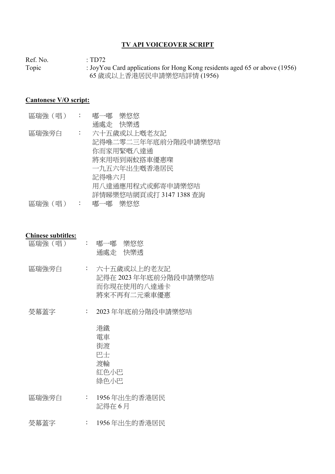## TV API VOICEOVER SCRIPT

Ref. No.  $\qquad \qquad : TD72$ <br>Topic  $\qquad \qquad : JoyYc$ : JoyYou Card applications for Hong Kong residents aged 65 or above (1956) 65 歲或以上香港居民申請樂悠咭詳情 (1956)

## Cantonese V/O script:

| 區瑞強(唱) | $\sim$ :                  | 嘟一嘟 樂悠悠                            |
|--------|---------------------------|------------------------------------|
| 區瑞強旁白  | $\mathbb{Z}^{\mathbb{Z}}$ | 通處走 快樂透<br>六十五歲或以上嘅老友記             |
|        |                           | 記得喺二零二三年年底前分階段申請樂悠咭<br>你而家用緊嘅八達通   |
|        |                           | 將來用唔到兩蚊搭車優惠喫<br>一九五六年出生嘅香港居民       |
|        |                           | 記得喺六月<br>用八達通應用程式或郵寄申請樂悠咭          |
| 區瑞強(唱) |                           | 詳情睇樂悠咭網頁或打 3147 1388 查詢<br>嘟一嘟 樂悠悠 |

## Chinese subtitles:

| 區瑞強(唱) | $\ddot{\phantom{0}}$ | 嘟一嘟 – 樂悠悠<br>通處走 快樂透                                                 |
|--------|----------------------|----------------------------------------------------------------------|
| 區瑞強旁白  |                      | : 六十五歳或以上的老友記<br>記得在 2023 年年底前分階段申請樂悠咭<br>而你現在使用的八達通卡<br>將來不再有二元乘車優惠 |

熒幕蓋字 : 2023 年年底前分階段申請樂悠咭

| 港鐵   |
|------|
| 電車   |
| 街渡   |
| 巴士   |
| 渡輪   |
| 紅色小巴 |
| 綠色小巴 |
|      |

區瑞強旁白 : 1956 年出生的香港居民 記得在 6 月

熒幕蓋字 : 1956 年出生的香港居民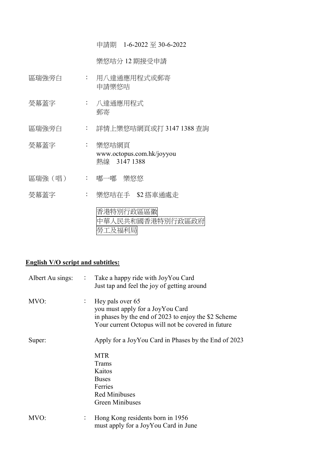申請期 1-6-2022 至 30-6-2022

樂悠咭分 12 期接受申請

- 區瑞強旁白 : 用八達通應用程式或郵寄 申請樂悠咭
- 熒幕蓋字 : 八達通應用程式 郵寄

區瑞強旁白 : 詳情上樂悠咭網頁或打 3147 1388 查詢

- 熒幕蓋字 : 樂悠咭網頁 www.octopus.com.hk/joyyou 熱線 3147 1388
- 區瑞強(唱) : 嘟一嘟 樂悠悠
- 熒幕蓋字 : 樂悠咭在手 \$2 搭車通處走

香港特別行政區區徽 中華人民共和國香港特別行政區政府 勞工及福利局

## English V/O script and subtitles:

| Albert Au sings: | $\mathbb{C}^{\times}$ | Take a happy ride with JoyYou Card<br>Just tap and feel the joy of getting around                                                                                  |
|------------------|-----------------------|--------------------------------------------------------------------------------------------------------------------------------------------------------------------|
| MVO:             | $\colon$              | Hey pals over 65<br>you must apply for a JoyYou Card<br>in phases by the end of 2023 to enjoy the \$2 Scheme<br>Your current Octopus will not be covered in future |
| Super:           |                       | Apply for a JoyYou Card in Phases by the End of 2023                                                                                                               |
|                  |                       | <b>MTR</b><br>Trams                                                                                                                                                |
|                  |                       | Kaitos                                                                                                                                                             |
|                  |                       | <b>Buses</b>                                                                                                                                                       |
|                  |                       | Ferries                                                                                                                                                            |
|                  |                       | <b>Red Minibuses</b>                                                                                                                                               |
|                  |                       | <b>Green Minibuses</b>                                                                                                                                             |
| MVO:             | $\colon$              | Hong Kong residents born in 1956                                                                                                                                   |
|                  |                       | must apply for a JoyYou Card in June                                                                                                                               |